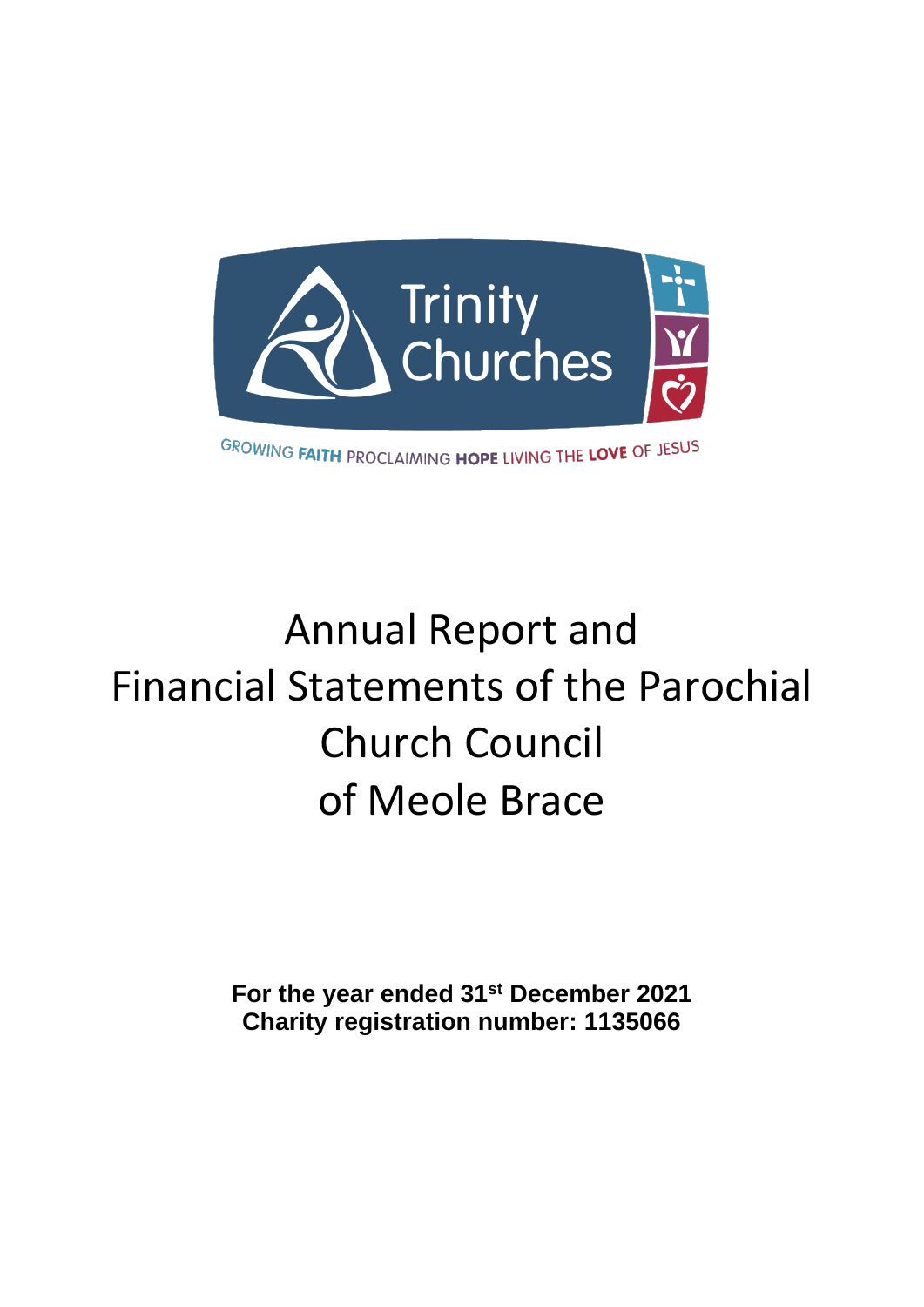

# Annual Report and Financial Statements of the Parochial Church Council of Meole Brace

**For the year ended 31st December 2021 Charity registration number: 1135066**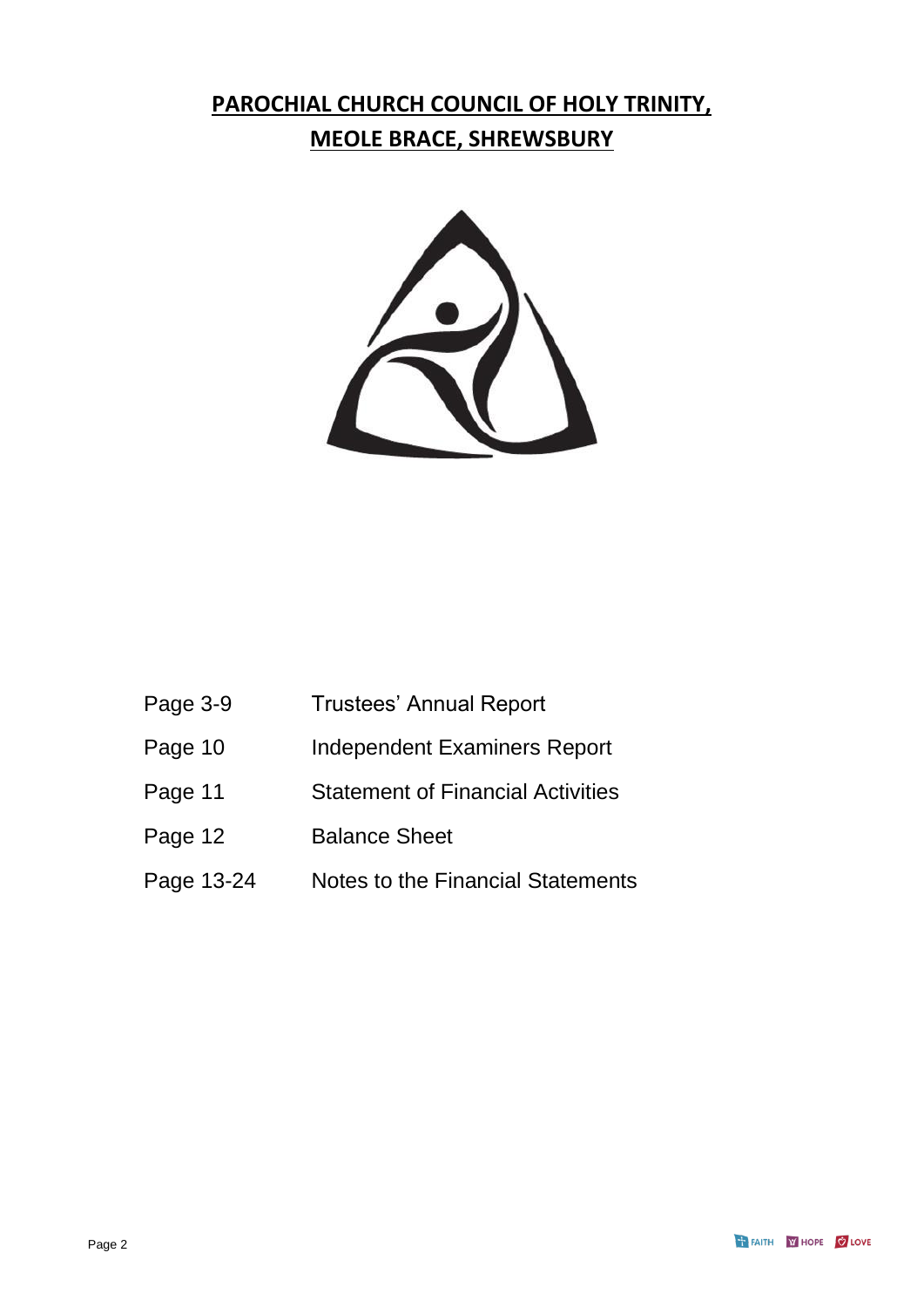## **PAROCHIAL CHURCH COUNCIL OF HOLY TRINITY, MEOLE BRACE, SHREWSBURY**



| Page 3-9   | <b>Trustees' Annual Report</b>           |
|------------|------------------------------------------|
| Page 10    | <b>Independent Examiners Report</b>      |
| Page 11    | <b>Statement of Financial Activities</b> |
| Page 12    | <b>Balance Sheet</b>                     |
| Page 13-24 | Notes to the Financial Statements        |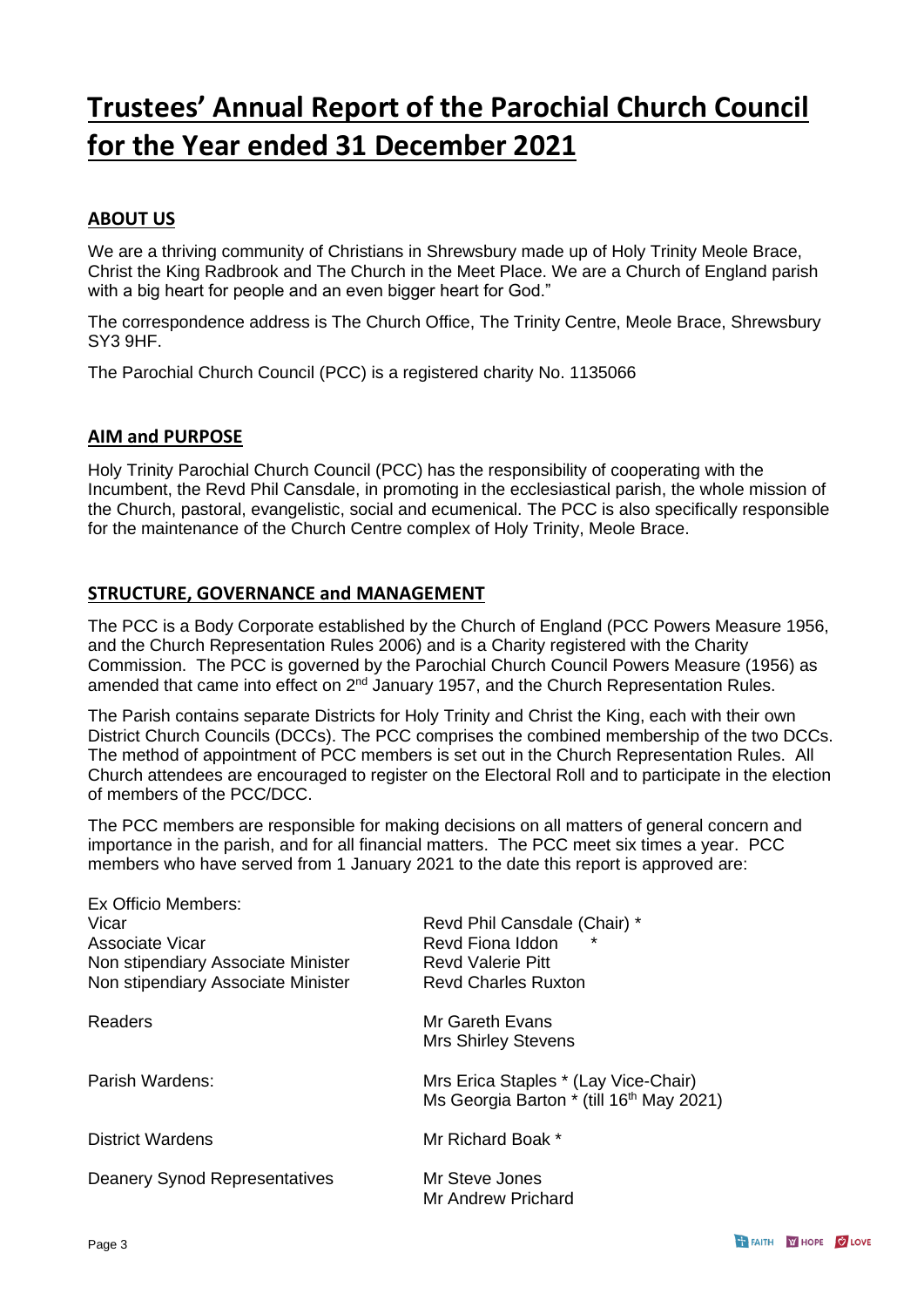## **Trustees' Annual Report of the Parochial Church Council for the Year ended 31 December 2021**

#### **ABOUT US**

We are a thriving community of Christians in Shrewsbury made up of Holy Trinity Meole Brace, Christ the King Radbrook and The Church in the Meet Place. We are a Church of England parish with a big heart for people and an even bigger heart for God."

The correspondence address is The Church Office, The Trinity Centre, Meole Brace, Shrewsbury SY3 9HF.

The Parochial Church Council (PCC) is a registered charity No. 1135066

#### **AIM and PURPOSE**

Holy Trinity Parochial Church Council (PCC) has the responsibility of cooperating with the Incumbent, the Revd Phil Cansdale, in promoting in the ecclesiastical parish, the whole mission of the Church, pastoral, evangelistic, social and ecumenical. The PCC is also specifically responsible for the maintenance of the Church Centre complex of Holy Trinity, Meole Brace.

#### **STRUCTURE, GOVERNANCE and MANAGEMENT**

The PCC is a Body Corporate established by the Church of England (PCC Powers Measure 1956, and the Church Representation Rules 2006) and is a Charity registered with the Charity Commission. The PCC is governed by the Parochial Church Council Powers Measure (1956) as amended that came into effect on  $2^{nd}$  January 1957, and the Church Representation Rules.

The Parish contains separate Districts for Holy Trinity and Christ the King, each with their own District Church Councils (DCCs). The PCC comprises the combined membership of the two DCCs. The method of appointment of PCC members is set out in the Church Representation Rules. All Church attendees are encouraged to register on the Electoral Roll and to participate in the election of members of the PCC/DCC.

The PCC members are responsible for making decisions on all matters of general concern and importance in the parish, and for all financial matters. The PCC meet six times a year. PCC members who have served from 1 January 2021 to the date this report is approved are:

| Ex Officio Members:                  |                                                                                              |
|--------------------------------------|----------------------------------------------------------------------------------------------|
| Vicar                                | Revd Phil Cansdale (Chair) *                                                                 |
| Associate Vicar                      | Revd Fiona Iddon                                                                             |
| Non stipendiary Associate Minister   | <b>Revd Valerie Pitt</b>                                                                     |
| Non stipendiary Associate Minister   | <b>Revd Charles Ruxton</b>                                                                   |
| <b>Readers</b>                       | Mr Gareth Evans<br><b>Mrs Shirley Stevens</b>                                                |
| Parish Wardens:                      | Mrs Erica Staples * (Lay Vice-Chair)<br>Ms Georgia Barton * (till 16 <sup>th</sup> May 2021) |
| <b>District Wardens</b>              | Mr Richard Boak *                                                                            |
| <b>Deanery Synod Representatives</b> | Mr Steve Jones<br>Mr Andrew Prichard                                                         |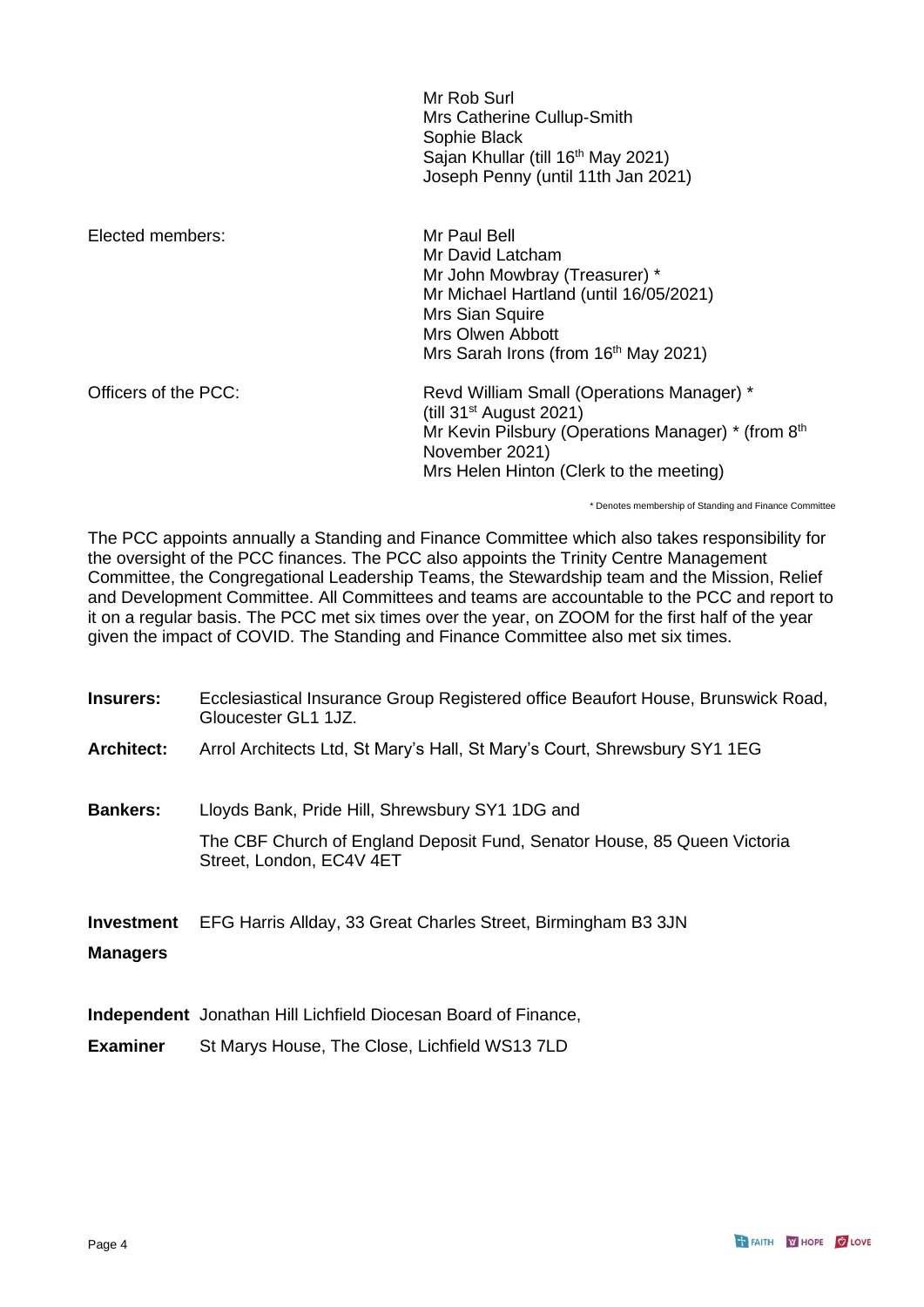Mr Rob Surl Mrs Catherine Cullup-Smith Sophie Black Sajan Khullar (till 16<sup>th</sup> May 2021) Joseph Penny (until 11th Jan 2021)

Elected members: Mr Paul Bell Mr David Latcham Mr John Mowbray (Treasurer) \* Mr Michael Hartland (until 16/05/2021) Mrs Sian Squire Mrs Olwen Abbott Mrs Sarah Irons (from 16<sup>th</sup> May 2021) Officers of the PCC: Revd William Small (Operations Manager) \* (till 31st August 2021) Mr Kevin Pilsbury (Operations Manager) \* (from 8<sup>th</sup> November 2021) Mrs Helen Hinton (Clerk to the meeting)

\* Denotes membership of Standing and Finance Committee

The PCC appoints annually a Standing and Finance Committee which also takes responsibility for the oversight of the PCC finances. The PCC also appoints the Trinity Centre Management Committee, the Congregational Leadership Teams, the Stewardship team and the Mission, Relief and Development Committee. All Committees and teams are accountable to the PCC and report to it on a regular basis. The PCC met six times over the year, on ZOOM for the first half of the year given the impact of COVID. The Standing and Finance Committee also met six times.

| Insurers:         | Ecclesiastical Insurance Group Registered office Beaufort House, Brunswick Road,<br>Gloucester GL1 1JZ. |
|-------------------|---------------------------------------------------------------------------------------------------------|
| <b>Architect:</b> | Arrol Architects Ltd, St Mary's Hall, St Mary's Court, Shrewsbury SY1 1EG                               |
| <b>Bankers:</b>   | Lloyds Bank, Pride Hill, Shrewsbury SY1 1DG and                                                         |
|                   | The CBF Church of England Deposit Fund, Senator House, 85 Queen Victoria<br>Street, London, EC4V 4ET    |
| <b>Investment</b> | EFG Harris Allday, 33 Great Charles Street, Birmingham B3 3JN                                           |
| <b>Managers</b>   |                                                                                                         |
|                   | <b>Independent</b> Jonathan Hill Lichfield Diocesan Board of Finance,                                   |
| <b>Examiner</b>   | St Marys House, The Close, Lichfield WS13 7LD                                                           |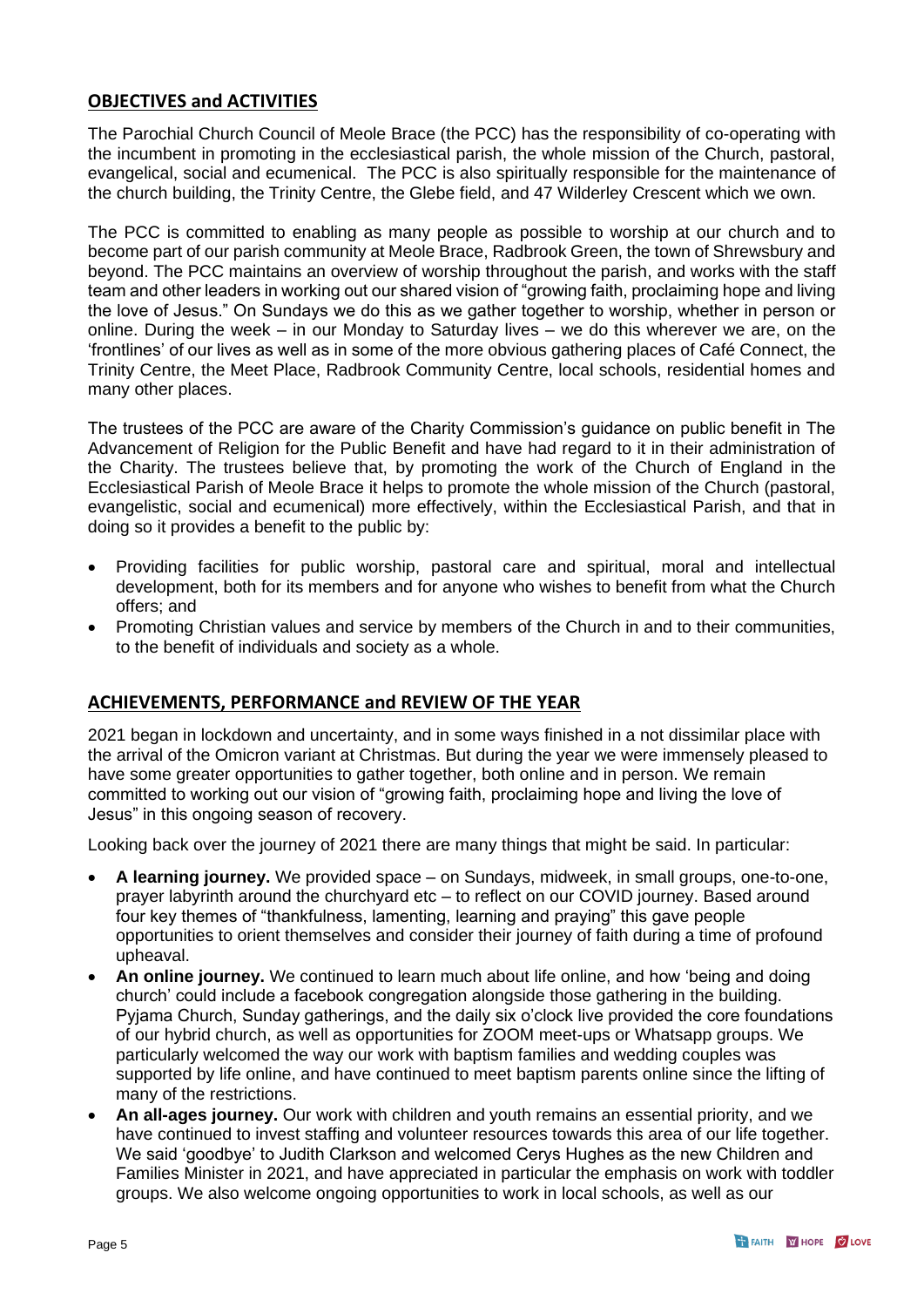#### **OBJECTIVES and ACTIVITIES**

The Parochial Church Council of Meole Brace (the PCC) has the responsibility of co-operating with the incumbent in promoting in the ecclesiastical parish, the whole mission of the Church, pastoral, evangelical, social and ecumenical. The PCC is also spiritually responsible for the maintenance of the church building, the Trinity Centre, the Glebe field, and 47 Wilderley Crescent which we own.

The PCC is committed to enabling as many people as possible to worship at our church and to become part of our parish community at Meole Brace, Radbrook Green, the town of Shrewsbury and beyond. The PCC maintains an overview of worship throughout the parish, and works with the staff team and other leaders in working out our shared vision of "growing faith, proclaiming hope and living the love of Jesus." On Sundays we do this as we gather together to worship, whether in person or online. During the week – in our Monday to Saturday lives – we do this wherever we are, on the 'frontlines' of our lives as well as in some of the more obvious gathering places of Café Connect, the Trinity Centre, the Meet Place, Radbrook Community Centre, local schools, residential homes and many other places.

The trustees of the PCC are aware of the Charity Commission's guidance on public benefit in The Advancement of Religion for the Public Benefit and have had regard to it in their administration of the Charity. The trustees believe that, by promoting the work of the Church of England in the Ecclesiastical Parish of Meole Brace it helps to promote the whole mission of the Church (pastoral, evangelistic, social and ecumenical) more effectively, within the Ecclesiastical Parish, and that in doing so it provides a benefit to the public by:

- Providing facilities for public worship, pastoral care and spiritual, moral and intellectual development, both for its members and for anyone who wishes to benefit from what the Church offers; and
- Promoting Christian values and service by members of the Church in and to their communities, to the benefit of individuals and society as a whole.

#### **ACHIEVEMENTS, PERFORMANCE and REVIEW OF THE YEAR**

2021 began in lockdown and uncertainty, and in some ways finished in a not dissimilar place with the arrival of the Omicron variant at Christmas. But during the year we were immensely pleased to have some greater opportunities to gather together, both online and in person. We remain committed to working out our vision of "growing faith, proclaiming hope and living the love of Jesus" in this ongoing season of recovery.

Looking back over the journey of 2021 there are many things that might be said. In particular:

- **A learning journey.** We provided space on Sundays, midweek, in small groups, one-to-one, prayer labyrinth around the churchyard etc – to reflect on our COVID journey. Based around four key themes of "thankfulness, lamenting, learning and praying" this gave people opportunities to orient themselves and consider their journey of faith during a time of profound upheaval.
- **An online journey.** We continued to learn much about life online, and how 'being and doing church' could include a facebook congregation alongside those gathering in the building. Pyjama Church, Sunday gatherings, and the daily six o'clock live provided the core foundations of our hybrid church, as well as opportunities for ZOOM meet-ups or Whatsapp groups. We particularly welcomed the way our work with baptism families and wedding couples was supported by life online, and have continued to meet baptism parents online since the lifting of many of the restrictions.
- **An all-ages journey.** Our work with children and youth remains an essential priority, and we have continued to invest staffing and volunteer resources towards this area of our life together. We said 'goodbye' to Judith Clarkson and welcomed Cerys Hughes as the new Children and Families Minister in 2021, and have appreciated in particular the emphasis on work with toddler groups. We also welcome ongoing opportunities to work in local schools, as well as our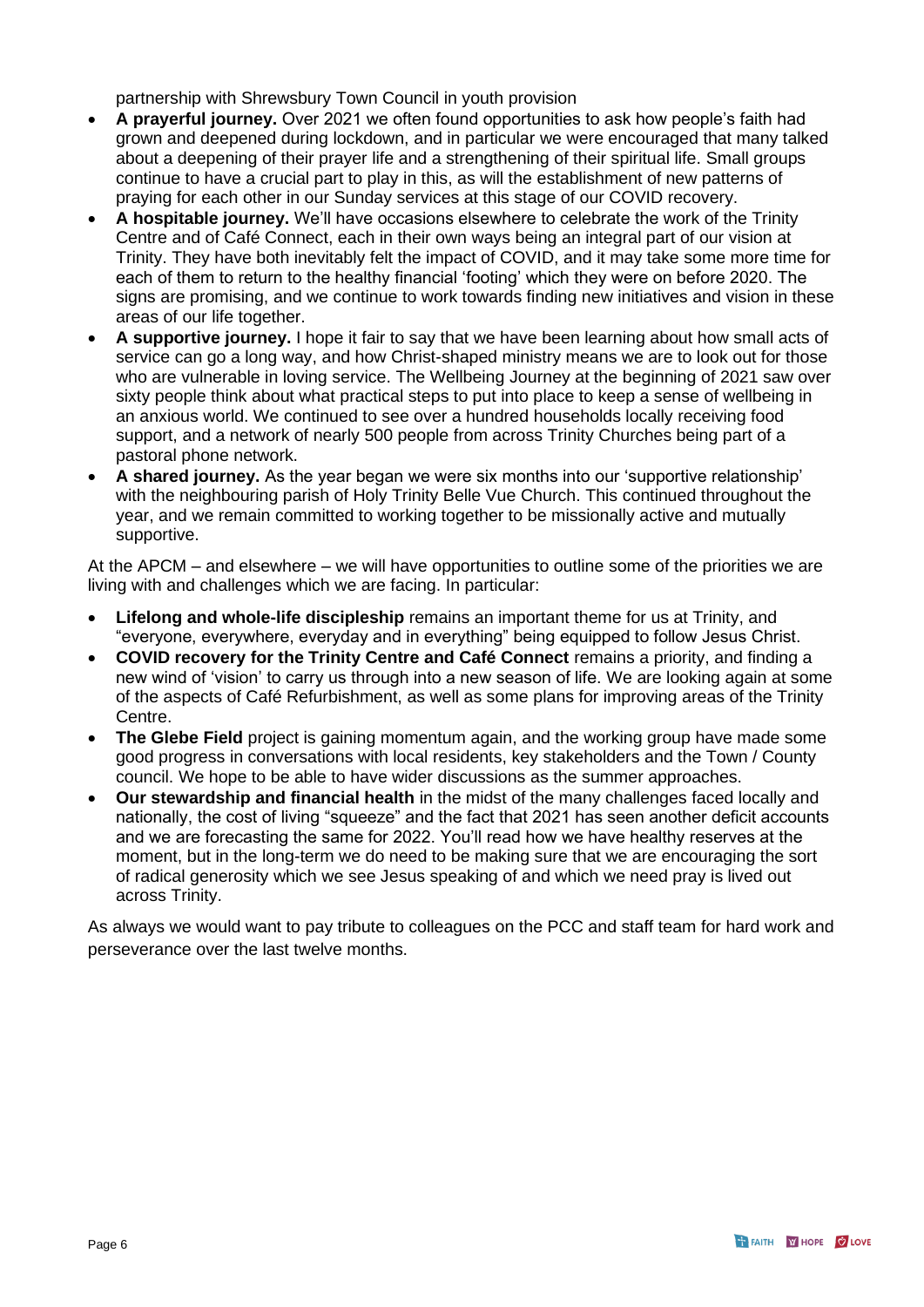partnership with Shrewsbury Town Council in youth provision

- **A prayerful journey.** Over 2021 we often found opportunities to ask how people's faith had grown and deepened during lockdown, and in particular we were encouraged that many talked about a deepening of their prayer life and a strengthening of their spiritual life. Small groups continue to have a crucial part to play in this, as will the establishment of new patterns of praying for each other in our Sunday services at this stage of our COVID recovery.
- **A hospitable journey.** We'll have occasions elsewhere to celebrate the work of the Trinity Centre and of Café Connect, each in their own ways being an integral part of our vision at Trinity. They have both inevitably felt the impact of COVID, and it may take some more time for each of them to return to the healthy financial 'footing' which they were on before 2020. The signs are promising, and we continue to work towards finding new initiatives and vision in these areas of our life together.
- **A supportive journey.** I hope it fair to say that we have been learning about how small acts of service can go a long way, and how Christ-shaped ministry means we are to look out for those who are vulnerable in loving service. The Wellbeing Journey at the beginning of 2021 saw over sixty people think about what practical steps to put into place to keep a sense of wellbeing in an anxious world. We continued to see over a hundred households locally receiving food support, and a network of nearly 500 people from across Trinity Churches being part of a pastoral phone network.
- **A shared journey.** As the year began we were six months into our 'supportive relationship' with the neighbouring parish of Holy Trinity Belle Vue Church. This continued throughout the year, and we remain committed to working together to be missionally active and mutually supportive.

At the APCM – and elsewhere – we will have opportunities to outline some of the priorities we are living with and challenges which we are facing. In particular:

- **Lifelong and whole-life discipleship** remains an important theme for us at Trinity, and "everyone, everywhere, everyday and in everything" being equipped to follow Jesus Christ.
- **COVID recovery for the Trinity Centre and Café Connect** remains a priority, and finding a new wind of 'vision' to carry us through into a new season of life. We are looking again at some of the aspects of Café Refurbishment, as well as some plans for improving areas of the Trinity Centre.
- **The Glebe Field** project is gaining momentum again, and the working group have made some good progress in conversations with local residents, key stakeholders and the Town / County council. We hope to be able to have wider discussions as the summer approaches.
- **Our stewardship and financial health** in the midst of the many challenges faced locally and nationally, the cost of living "squeeze" and the fact that 2021 has seen another deficit accounts and we are forecasting the same for 2022. You'll read how we have healthy reserves at the moment, but in the long-term we do need to be making sure that we are encouraging the sort of radical generosity which we see Jesus speaking of and which we need pray is lived out across Trinity.

As always we would want to pay tribute to colleagues on the PCC and staff team for hard work and perseverance over the last twelve months.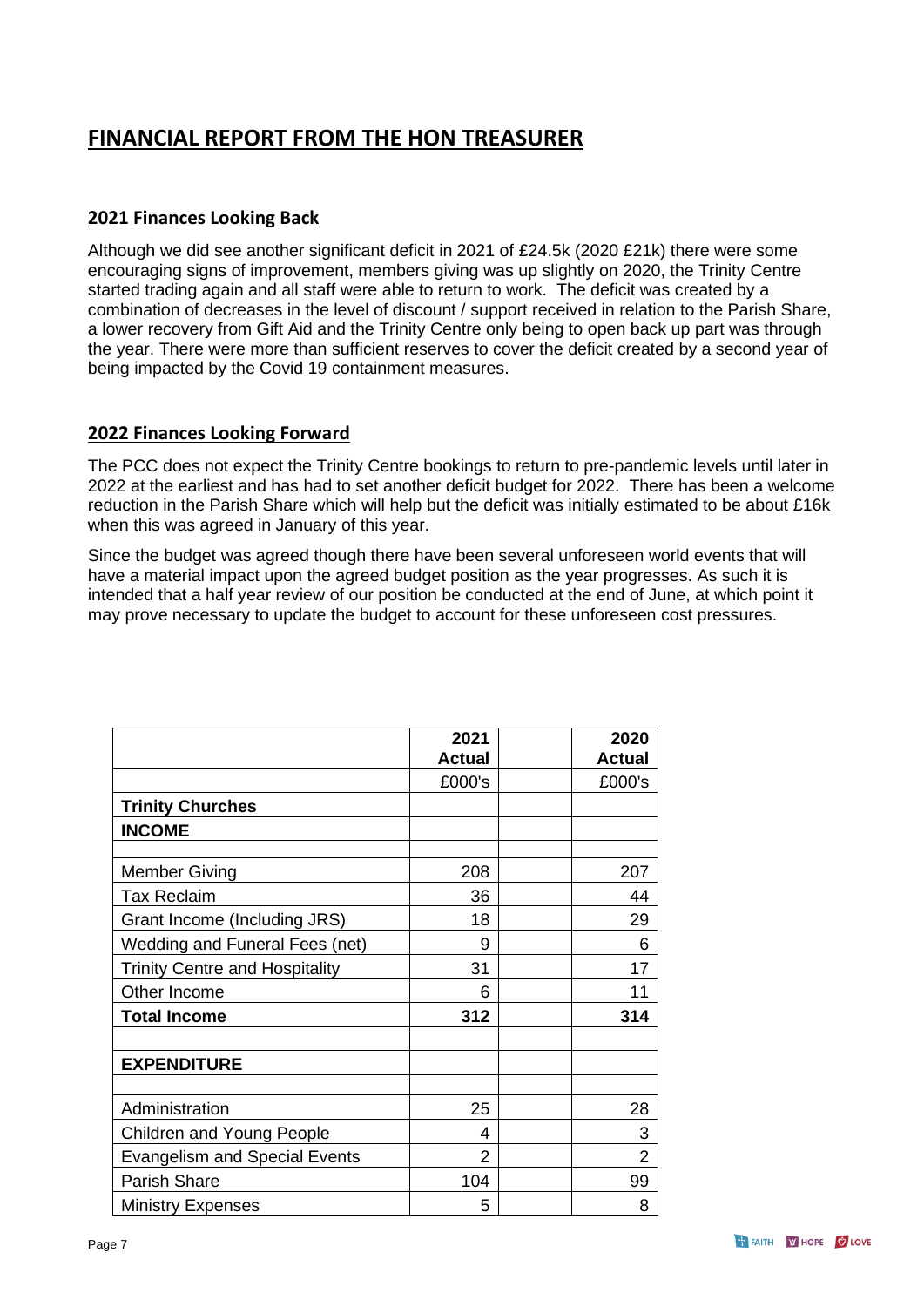### **FINANCIAL REPORT FROM THE HON TREASURER**

#### **2021 Finances Looking Back**

Although we did see another significant deficit in 2021 of £24.5k (2020 £21k) there were some encouraging signs of improvement, members giving was up slightly on 2020, the Trinity Centre started trading again and all staff were able to return to work. The deficit was created by a combination of decreases in the level of discount / support received in relation to the Parish Share, a lower recovery from Gift Aid and the Trinity Centre only being to open back up part was through the year. There were more than sufficient reserves to cover the deficit created by a second year of being impacted by the Covid 19 containment measures.

#### **2022 Finances Looking Forward**

The PCC does not expect the Trinity Centre bookings to return to pre-pandemic levels until later in 2022 at the earliest and has had to set another deficit budget for 2022. There has been a welcome reduction in the Parish Share which will help but the deficit was initially estimated to be about £16k when this was agreed in January of this year.

Since the budget was agreed though there have been several unforeseen world events that will have a material impact upon the agreed budget position as the year progresses. As such it is intended that a half year review of our position be conducted at the end of June, at which point it may prove necessary to update the budget to account for these unforeseen cost pressures.

|                                       | 2021<br><b>Actual</b> | 2020<br><b>Actual</b> |
|---------------------------------------|-----------------------|-----------------------|
|                                       | £000's                | £000's                |
| <b>Trinity Churches</b>               |                       |                       |
| <b>INCOME</b>                         |                       |                       |
|                                       |                       |                       |
| <b>Member Giving</b>                  | 208                   | 207                   |
| <b>Tax Reclaim</b>                    | 36                    | 44                    |
| Grant Income (Including JRS)          | 18                    | 29                    |
| Wedding and Funeral Fees (net)        | 9                     | 6                     |
| <b>Trinity Centre and Hospitality</b> | 31                    | 17                    |
| Other Income                          | 6                     | 11                    |
| <b>Total Income</b>                   | 312                   | 314                   |
| <b>EXPENDITURE</b>                    |                       |                       |
| Administration                        | 25                    | 28                    |
| Children and Young People             | 4                     | 3                     |
| <b>Evangelism and Special Events</b>  | $\overline{2}$        | $\overline{2}$        |
| <b>Parish Share</b>                   | 104                   | 99                    |
| <b>Ministry Expenses</b>              | 5                     | 8                     |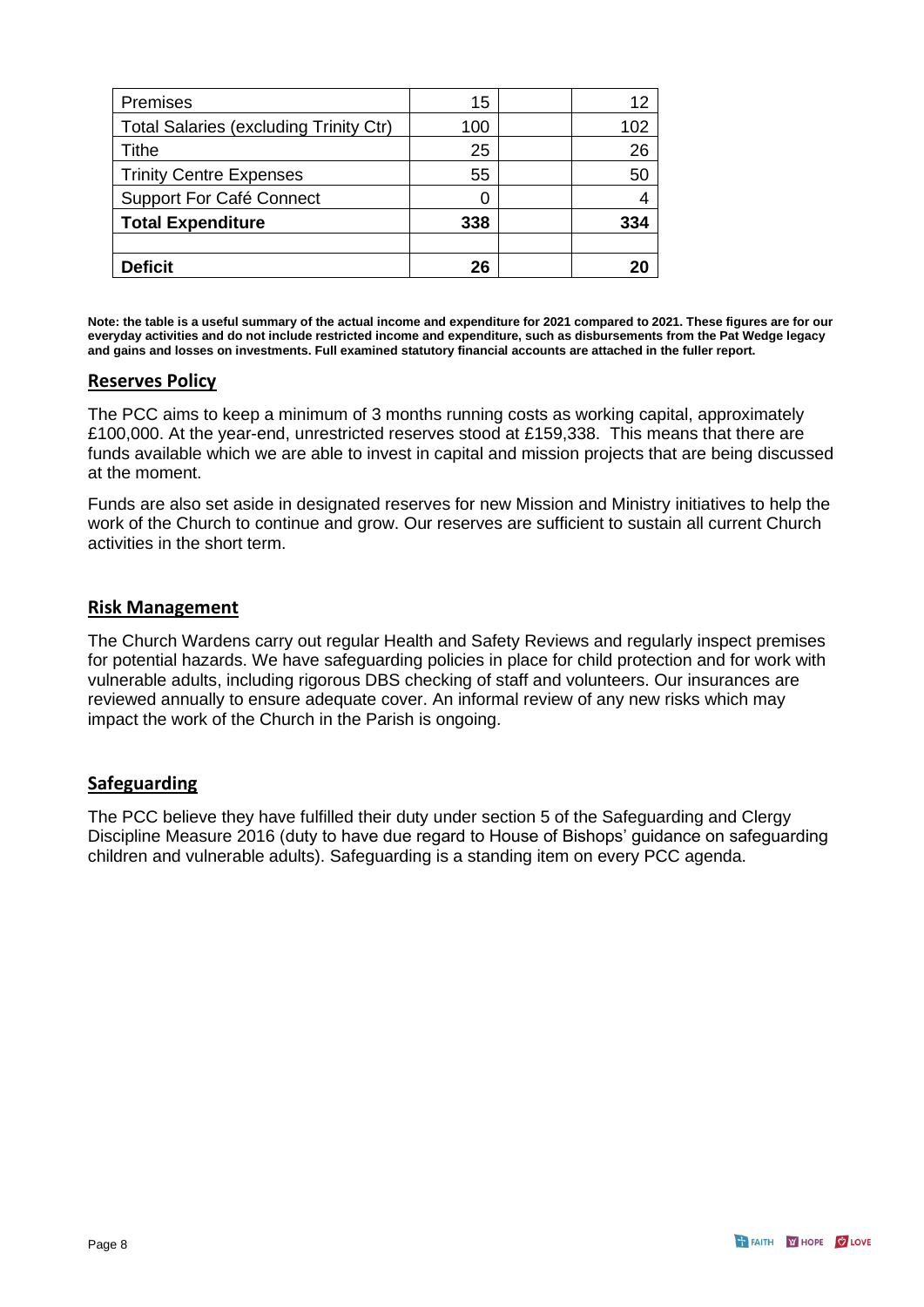| Premises                                      | 15  | 12  |
|-----------------------------------------------|-----|-----|
| <b>Total Salaries (excluding Trinity Ctr)</b> | 100 | 102 |
| <b>Tithe</b>                                  | 25  | 26  |
| <b>Trinity Centre Expenses</b>                | 55  | 50  |
| <b>Support For Café Connect</b>               |     |     |
| <b>Total Expenditure</b>                      | 338 | 334 |
|                                               |     |     |
| <b>Deficit</b>                                | 26  |     |

**Note: the table is a useful summary of the actual income and expenditure for 2021 compared to 2021. These figures are for our everyday activities and do not include restricted income and expenditure, such as disbursements from the Pat Wedge legacy and gains and losses on investments. Full examined statutory financial accounts are attached in the fuller report.** 

#### **Reserves Policy**

The PCC aims to keep a minimum of 3 months running costs as working capital, approximately £100,000. At the year-end, unrestricted reserves stood at £159,338. This means that there are funds available which we are able to invest in capital and mission projects that are being discussed at the moment.

Funds are also set aside in designated reserves for new Mission and Ministry initiatives to help the work of the Church to continue and grow. Our reserves are sufficient to sustain all current Church activities in the short term.

#### **Risk Management**

The Church Wardens carry out regular Health and Safety Reviews and regularly inspect premises for potential hazards. We have safeguarding policies in place for child protection and for work with vulnerable adults, including rigorous DBS checking of staff and volunteers. Our insurances are reviewed annually to ensure adequate cover. An informal review of any new risks which may impact the work of the Church in the Parish is ongoing.

#### **Safeguarding**

The PCC believe they have fulfilled their duty under section 5 of the Safeguarding and Clergy Discipline Measure 2016 (duty to have due regard to House of Bishops' guidance on safeguarding children and vulnerable adults). Safeguarding is a standing item on every PCC agenda.